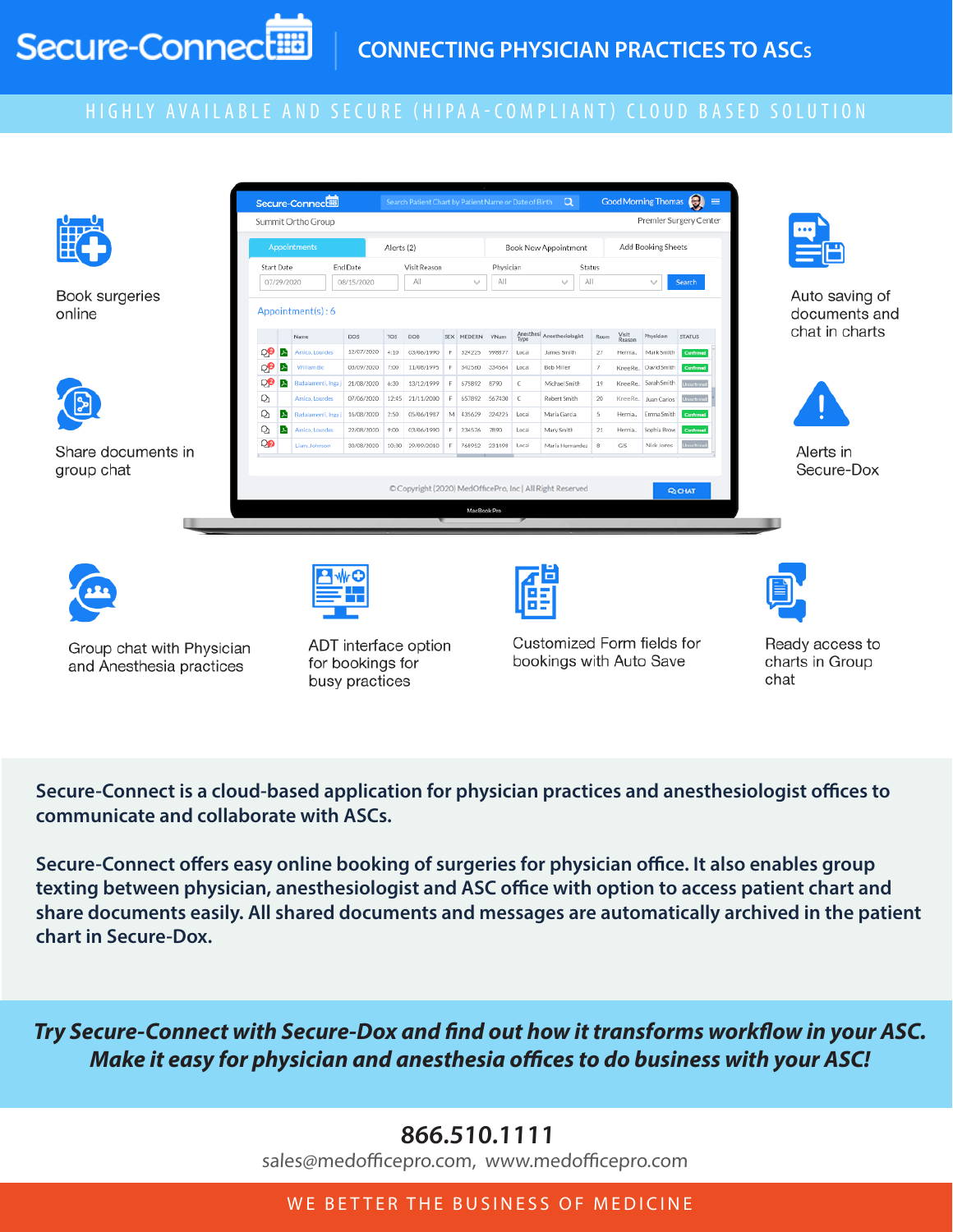# Secure-Connect

## HIGHLY AVAIL ABLE AND SECURE (HIPAA-COMPLIANT) CLOUD BASED SOLUTION



Group chat with Physician and Anesthesia practices

ADT interface option

for bookings for

busy practices



Customized Form fields for bookings with Auto Save

Ready access to charts in Group chat

**Secure-Connect is a cloud-based application for physician practices and anesthesiologist offices to communicate and collaborate with ASCs.** 

**Secure-Connect offers easy online booking of surgeries for physician office. It also enables group texting between physician, anesthesiologist and ASC office with option to access patient chart and share documents easily. All shared documents and messages are automatically archived in the patient chart in Secure-Dox.** 

*Try Secure-Connect with Secure-Dox and find out how it transforms workflow in your ASC. Make it easy for physician and anesthesia offices to do business with your ASC!*

## **866.510.1111**

sales@medofficepro.com, www.medofficepro.com

### WE BETTER THE BUSINESS OF MEDICINE